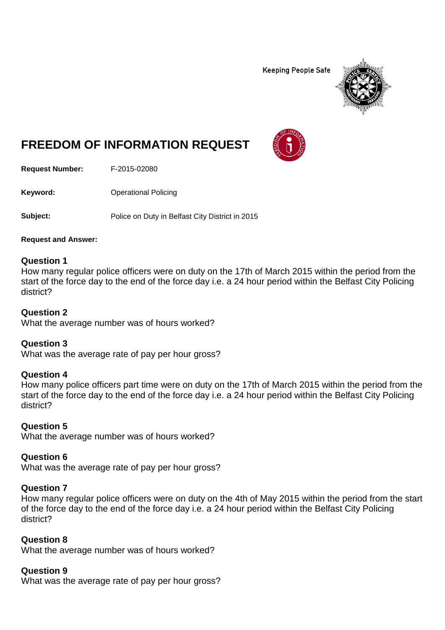**Keeping People Safe** 



# **FREEDOM OF INFORMATION REQUEST**

**Request Number:** F-2015-02080

**Keyword:** Operational Policing

**Subject:** Police on Duty in Belfast City District in 2015

**Request and Answer:**

### **Question 1**

How many regular police officers were on duty on the 17th of March 2015 within the period from the start of the force day to the end of the force day i.e. a 24 hour period within the Belfast City Policing district?

### **Question 2**

What the average number was of hours worked?

### **Question 3**

What was the average rate of pay per hour gross?

### **Question 4**

How many police officers part time were on duty on the 17th of March 2015 within the period from the start of the force day to the end of the force day i.e. a 24 hour period within the Belfast City Policing district?

### **Question 5**

What the average number was of hours worked?

### **Question 6**

What was the average rate of pay per hour gross?

### **Question 7**

How many regular police officers were on duty on the 4th of May 2015 within the period from the start of the force day to the end of the force day i.e. a 24 hour period within the Belfast City Policing district?

### **Question 8**

What the average number was of hours worked?

### **Question 9**

What was the average rate of pay per hour gross?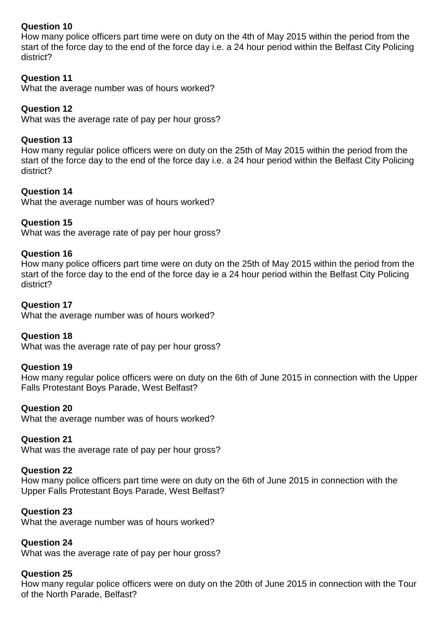### **Question 10**

How many police officers part time were on duty on the 4th of May 2015 within the period from the start of the force day to the end of the force day i.e. a 24 hour period within the Belfast City Policing district?

### **Question 11**

What the average number was of hours worked?

### **Question 12**

What was the average rate of pay per hour gross?

### **Question 13**

How many regular police officers were on duty on the 25th of May 2015 within the period from the start of the force day to the end of the force day i.e. a 24 hour period within the Belfast City Policing district?

### **Question 14**

What the average number was of hours worked?

### **Question 15**

What was the average rate of pay per hour gross?

### **Question 16**

How many police officers part time were on duty on the 25th of May 2015 within the period from the start of the force day to the end of the force day ie a 24 hour period within the Belfast City Policing district?

### **Question 17**

What the average number was of hours worked?

### **Question 18**

What was the average rate of pay per hour gross?

### **Question 19**

How many regular police officers were on duty on the 6th of June 2015 in connection with the Upper Falls Protestant Boys Parade, West Belfast?

### **Question 20**

What the average number was of hours worked?

### **Question 21**

What was the average rate of pay per hour gross?

### **Question 22**

How many police officers part time were on duty on the 6th of June 2015 in connection with the Upper Falls Protestant Boys Parade, West Belfast?

### **Question 23**

What the average number was of hours worked?

### **Question 24**

What was the average rate of pay per hour gross?

### **Question 25**

How many regular police officers were on duty on the 20th of June 2015 in connection with the Tour of the North Parade, Belfast?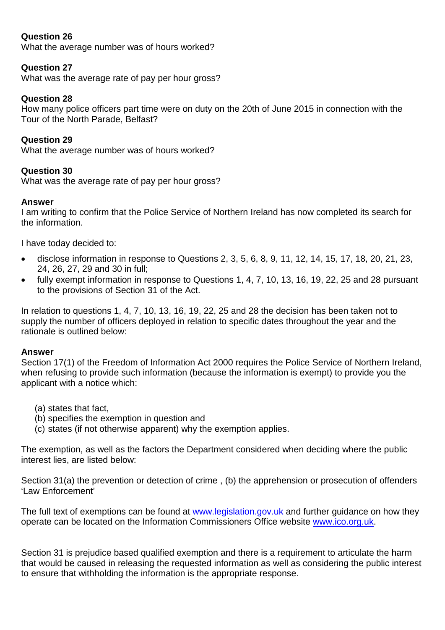### **Question 26**

What the average number was of hours worked?

### **Question 27**

What was the average rate of pay per hour gross?

### **Question 28**

How many police officers part time were on duty on the 20th of June 2015 in connection with the Tour of the North Parade, Belfast?

### **Question 29**

What the average number was of hours worked?

### **Question 30**

What was the average rate of pay per hour gross?

### **Answer**

I am writing to confirm that the Police Service of Northern Ireland has now completed its search for the information.

I have today decided to:

- disclose information in response to Questions 2, 3, 5, 6, 8, 9, 11, 12, 14, 15, 17, 18, 20, 21, 23, 24, 26, 27, 29 and 30 in full;
- fully exempt information in response to Questions 1, 4, 7, 10, 13, 16, 19, 22, 25 and 28 pursuant to the provisions of Section 31 of the Act.

In relation to questions 1, 4, 7, 10, 13, 16, 19, 22, 25 and 28 the decision has been taken not to supply the number of officers deployed in relation to specific dates throughout the year and the rationale is outlined below:

#### **Answer**

Section 17(1) of the Freedom of Information Act 2000 requires the Police Service of Northern Ireland, when refusing to provide such information (because the information is exempt) to provide you the applicant with a notice which:

- (a) states that fact,
- (b) specifies the exemption in question and
- (c) states (if not otherwise apparent) why the exemption applies.

The exemption, as well as the factors the Department considered when deciding where the public interest lies, are listed below:

Section 31(a) the prevention or detection of crime , (b) the apprehension or prosecution of offenders 'Law Enforcement'

The full text of exemptions can be found at [www.legislation.gov.uk](http://www.legislation.gov.uk/) and further guidance on how they operate can be located on the Information Commissioners Office website [www.ico.org.uk.](http://www.ico.org.uk/)

Section 31 is prejudice based qualified exemption and there is a requirement to articulate the harm that would be caused in releasing the requested information as well as considering the public interest to ensure that withholding the information is the appropriate response.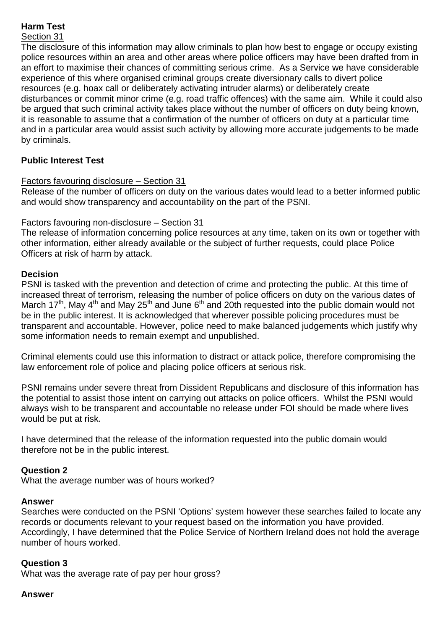## **Harm Test**

### Section 31

The disclosure of this information may allow criminals to plan how best to engage or occupy existing police resources within an area and other areas where police officers may have been drafted from in an effort to maximise their chances of committing serious crime. As a Service we have considerable experience of this where organised criminal groups create diversionary calls to divert police resources (e.g. hoax call or deliberately activating intruder alarms) or deliberately create disturbances or commit minor crime (e.g. road traffic offences) with the same aim. While it could also be argued that such criminal activity takes place without the number of officers on duty being known, it is reasonable to assume that a confirmation of the number of officers on duty at a particular time and in a particular area would assist such activity by allowing more accurate judgements to be made by criminals.

### **Public Interest Test**

### Factors favouring disclosure – Section 31

Release of the number of officers on duty on the various dates would lead to a better informed public and would show transparency and accountability on the part of the PSNI.

### Factors favouring non-disclosure – Section 31

The release of information concerning police resources at any time, taken on its own or together with other information, either already available or the subject of further requests, could place Police Officers at risk of harm by attack.

### **Decision**

PSNI is tasked with the prevention and detection of crime and protecting the public. At this time of increased threat of terrorism, releasing the number of police officers on duty on the various dates of March 17<sup>th</sup>, May 4<sup>th</sup> and May 25<sup>th</sup> and June 6<sup>th</sup> and 20th requested into the public domain would not be in the public interest. It is acknowledged that wherever possible policing procedures must be transparent and accountable. However, police need to make balanced judgements which justify why some information needs to remain exempt and unpublished.

Criminal elements could use this information to distract or attack police, therefore compromising the law enforcement role of police and placing police officers at serious risk.

PSNI remains under severe threat from Dissident Republicans and disclosure of this information has the potential to assist those intent on carrying out attacks on police officers. Whilst the PSNI would always wish to be transparent and accountable no release under FOI should be made where lives would be put at risk.

I have determined that the release of the information requested into the public domain would therefore not be in the public interest.

#### **Question 2**

What the average number was of hours worked?

#### **Answer**

Searches were conducted on the PSNI 'Options' system however these searches failed to locate any records or documents relevant to your request based on the information you have provided. Accordingly, I have determined that the Police Service of Northern Ireland does not hold the average number of hours worked.

### **Question 3**

What was the average rate of pay per hour gross?

#### **Answer**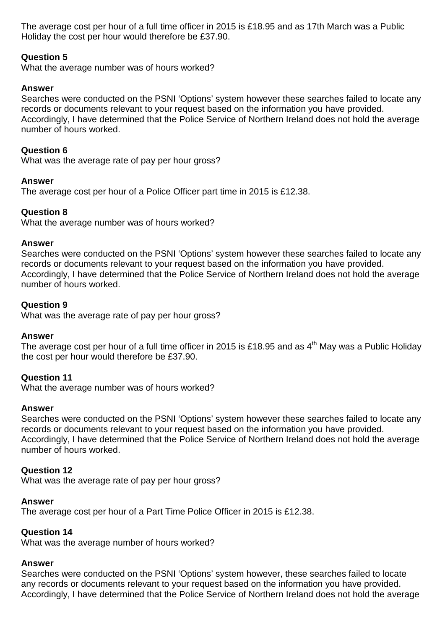The average cost per hour of a full time officer in 2015 is £18.95 and as 17th March was a Public Holiday the cost per hour would therefore be £37.90.

### **Question 5**

What the average number was of hours worked?

### **Answer**

Searches were conducted on the PSNI 'Options' system however these searches failed to locate any records or documents relevant to your request based on the information you have provided. Accordingly, I have determined that the Police Service of Northern Ireland does not hold the average number of hours worked.

### **Question 6**

What was the average rate of pay per hour gross?

### **Answer**

The average cost per hour of a Police Officer part time in 2015 is £12.38.

### **Question 8**

What the average number was of hours worked?

#### **Answer**

Searches were conducted on the PSNI 'Options' system however these searches failed to locate any records or documents relevant to your request based on the information you have provided. Accordingly, I have determined that the Police Service of Northern Ireland does not hold the average number of hours worked.

### **Question 9**

What was the average rate of pay per hour gross?

### **Answer**

The average cost per hour of a full time officer in 2015 is £18.95 and as 4<sup>th</sup> May was a Public Holiday the cost per hour would therefore be £37.90.

### **Question 11**

What the average number was of hours worked?

### **Answer**

Searches were conducted on the PSNI 'Options' system however these searches failed to locate any records or documents relevant to your request based on the information you have provided. Accordingly, I have determined that the Police Service of Northern Ireland does not hold the average number of hours worked.

### **Question 12**

What was the average rate of pay per hour gross?

### **Answer**

The average cost per hour of a Part Time Police Officer in 2015 is £12.38.

### **Question 14**

What was the average number of hours worked?

#### **Answer**

Searches were conducted on the PSNI 'Options' system however, these searches failed to locate any records or documents relevant to your request based on the information you have provided. Accordingly, I have determined that the Police Service of Northern Ireland does not hold the average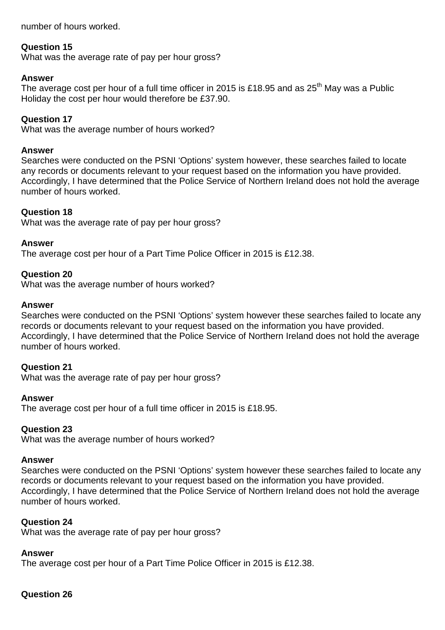number of hours worked.

### **Question 15**

What was the average rate of pay per hour gross?

### **Answer**

The average cost per hour of a full time officer in 2015 is £18.95 and as 25<sup>th</sup> Mav was a Public Holiday the cost per hour would therefore be £37.90.

### **Question 17**

What was the average number of hours worked?

#### **Answer**

Searches were conducted on the PSNI 'Options' system however, these searches failed to locate any records or documents relevant to your request based on the information you have provided. Accordingly, I have determined that the Police Service of Northern Ireland does not hold the average number of hours worked.

#### **Question 18**

What was the average rate of pay per hour gross?

#### **Answer**

The average cost per hour of a Part Time Police Officer in 2015 is £12.38.

#### **Question 20**

What was the average number of hours worked?

#### **Answer**

Searches were conducted on the PSNI 'Options' system however these searches failed to locate any records or documents relevant to your request based on the information you have provided. Accordingly, I have determined that the Police Service of Northern Ireland does not hold the average number of hours worked.

#### **Question 21**

What was the average rate of pay per hour gross?

#### **Answer**

The average cost per hour of a full time officer in 2015 is £18.95.

#### **Question 23**

What was the average number of hours worked?

#### **Answer**

Searches were conducted on the PSNI 'Options' system however these searches failed to locate any records or documents relevant to your request based on the information you have provided. Accordingly, I have determined that the Police Service of Northern Ireland does not hold the average number of hours worked.

#### **Question 24**

What was the average rate of pay per hour gross?

#### **Answer**

The average cost per hour of a Part Time Police Officer in 2015 is £12.38.